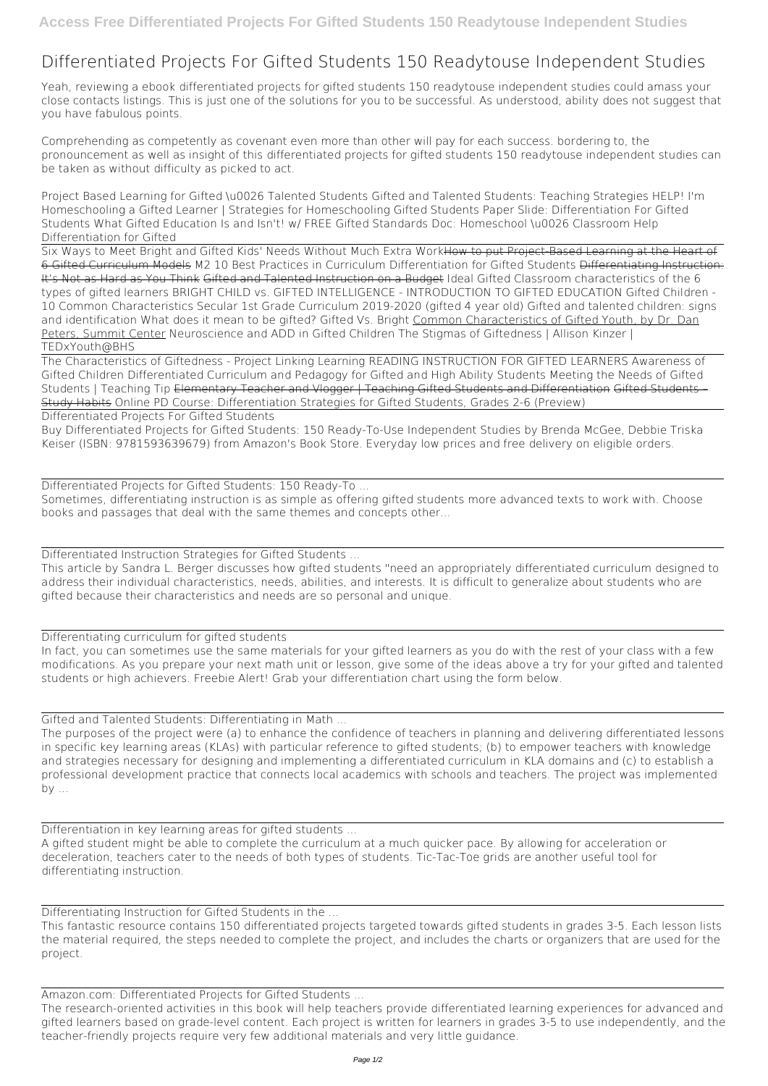## **Differentiated Projects For Gifted Students 150 Readytouse Independent Studies**

Yeah, reviewing a ebook **differentiated projects for gifted students 150 readytouse independent studies** could amass your close contacts listings. This is just one of the solutions for you to be successful. As understood, ability does not suggest that you have fabulous points.

Comprehending as competently as covenant even more than other will pay for each success. bordering to, the pronouncement as well as insight of this differentiated projects for gifted students 150 readytouse independent studies can be taken as without difficulty as picked to act.

**Project Based Learning for Gifted \u0026 Talented Students** *Gifted and Talented Students: Teaching Strategies HELP! I'm Homeschooling a Gifted Learner | Strategies for Homeschooling Gifted Students Paper Slide: Differentiation For Gifted Students What Gifted Education Is and Isn't! w/ FREE Gifted Standards Doc: Homeschool \u0026 Classroom Help* Differentiation for Gifted

Six Ways to Meet Bright and Gifted Kids' Needs Without Much Extra WorkHow to put Project-Based Learning at the Heart of 6 Gifted Curriculum Models *M2 10 Best Practices in Curriculum Differentiation for Gifted Students* Differentiating Instruction: It's Not as Hard as You Think Gifted and Talented Instruction on a Budget Ideal Gifted Classroom characteristics of the 6 types of gifted learners *BRIGHT CHILD vs. GIFTED INTELLIGENCE - INTRODUCTION TO GIFTED EDUCATION* Gifted Children - 10 Common Characteristics Secular 1st Grade Curriculum 2019-2020 (gifted 4 year old) *Gifted and talented children: signs and identification* **What does it mean to be gifted? Gifted Vs. Bright** Common Characteristics of Gifted Youth, by Dr. Dan Peters, Summit Center *Neuroscience and ADD in Gifted Children The Stigmas of Giftedness | Allison Kinzer | TEDxYouth@BHS*

The purposes of the project were (a) to enhance the confidence of teachers in planning and delivering differentiated lessons in specific key learning areas (KLAs) with particular reference to gifted students; (b) to empower teachers with knowledge and strategies necessary for designing and implementing a differentiated curriculum in KLA domains and (c) to establish a professional development practice that connects local academics with schools and teachers. The project was implemented  $by \dots$ 

The Characteristics of Giftedness - Project Linking Learning READING INSTRUCTION FOR GIFTED LEARNERS Awareness of Gifted Children *Differentiated Curriculum and Pedagogy for Gifted and High Ability Students Meeting the Needs of Gifted Students | Teaching Tip* Elementary Teacher and Vlogger | Teaching Gifted Students and Differentiation Gifted Students – Study Habits **Online PD Course: Differentiation Strategies for Gifted Students, Grades 2-6 (Preview)**

Differentiated Projects For Gifted Students

Buy Differentiated Projects for Gifted Students: 150 Ready-To-Use Independent Studies by Brenda McGee, Debbie Triska Keiser (ISBN: 9781593639679) from Amazon's Book Store. Everyday low prices and free delivery on eligible orders.

Differentiated Projects for Gifted Students: 150 Ready-To ...

Sometimes, differentiating instruction is as simple as offering gifted students more advanced texts to work with. Choose books and passages that deal with the same themes and concepts other...

Differentiated Instruction Strategies for Gifted Students ...

This article by Sandra L. Berger discusses how gifted students "need an appropriately differentiated curriculum designed to address their individual characteristics, needs, abilities, and interests. It is difficult to generalize about students who are gifted because their characteristics and needs are so personal and unique.

Differentiating curriculum for gifted students

In fact, you can sometimes use the same materials for your gifted learners as you do with the rest of your class with a few modifications. As you prepare your next math unit or lesson, give some of the ideas above a try for your gifted and talented students or high achievers. Freebie Alert! Grab your differentiation chart using the form below.

Gifted and Talented Students: Differentiating in Math ...

Differentiation in key learning areas for gifted students ...

A gifted student might be able to complete the curriculum at a much quicker pace. By allowing for acceleration or deceleration, teachers cater to the needs of both types of students. Tic-Tac-Toe grids are another useful tool for differentiating instruction.

Differentiating Instruction for Gifted Students in the ...

This fantastic resource contains 150 differentiated projects targeted towards gifted students in grades 3-5. Each lesson lists the material required, the steps needed to complete the project, and includes the charts or organizers that are used for the project.

Amazon.com: Differentiated Projects for Gifted Students ...

The research-oriented activities in this book will help teachers provide differentiated learning experiences for advanced and gifted learners based on grade-level content. Each project is written for learners in grades 3-5 to use independently, and the teacher-friendly projects require very few additional materials and very little guidance.